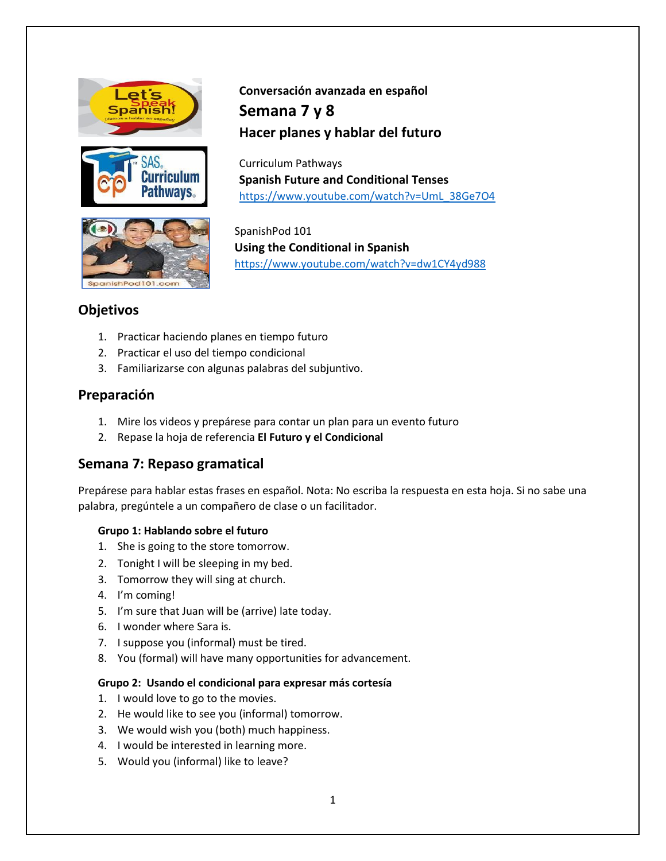





# **Conversación avanzada en español Semana 7 y 8 Hacer planes y hablar del futuro**

Curriculum Pathways **Spanish Future and Conditional Tenses** [https://www.youtube.com/watch?v=UmL\\_38Ge7O4](https://www.youtube.com/watch?v=UmL_38Ge7O4)

SpanishPod 101 **Using the Conditional in Spanish** <https://www.youtube.com/watch?v=dw1CY4yd988>

# **Objetivos**

- 1. Practicar haciendo planes en tiempo futuro
- 2. Practicar el uso del tiempo condicional
- 3. Familiarizarse con algunas palabras del subjuntivo.

# **Preparación**

- 1. Mire los videos y prepárese para contar un plan para un evento futuro
- 2. Repase la hoja de referencia **El Futuro y el Condicional**

# **Semana 7: Repaso gramatical**

Prepárese para hablar estas frases en español. Nota: No escriba la respuesta en esta hoja. Si no sabe una palabra, pregúntele a un compañero de clase o un facilitador.

### **Grupo 1: Hablando sobre el futuro**

- 1. She is going to the store tomorrow.
- 2. Tonight I will be sleeping in my bed.
- 3. Tomorrow they will sing at church.
- 4. I'm coming!
- 5. I'm sure that Juan will be (arrive) late today.
- 6. I wonder where Sara is.
- 7. I suppose you (informal) must be tired.
- 8. You (formal) will have many opportunities for advancement.

### **Grupo 2: Usando el condicional para expresar más cortesía**

- 1. I would love to go to the movies.
- 2. He would like to see you (informal) tomorrow.
- 3. We would wish you (both) much happiness.
- 4. I would be interested in learning more.
- 5. Would you (informal) like to leave?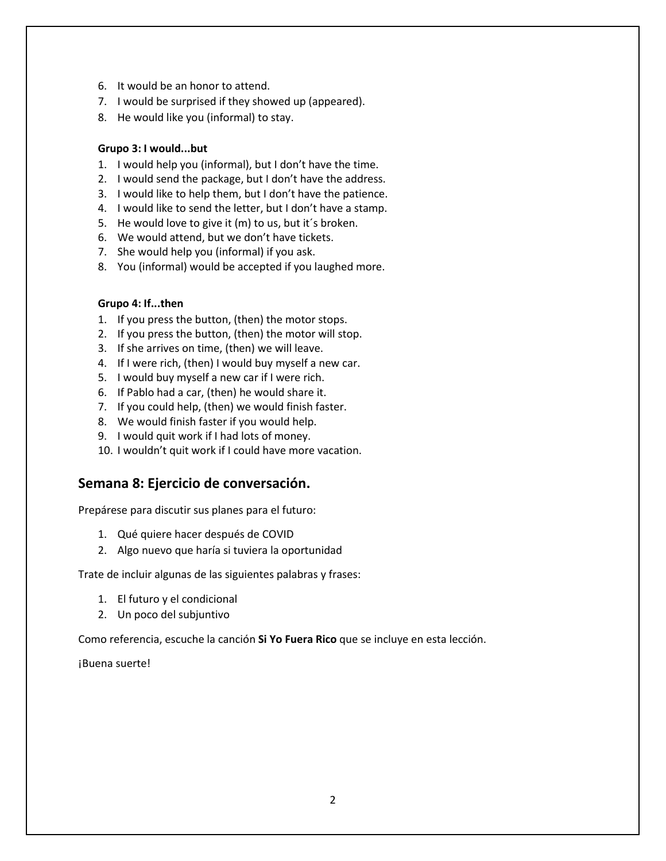- 6. It would be an honor to attend.
- 7. I would be surprised if they showed up (appeared).
- 8. He would like you (informal) to stay.

#### **Grupo 3: I would...but**

- 1. I would help you (informal), but I don't have the time.
- 2. I would send the package, but I don't have the address.
- 3. I would like to help them, but I don't have the patience.
- 4. I would like to send the letter, but I don't have a stamp.
- 5. He would love to give it (m) to us, but it´s broken.
- 6. We would attend, but we don't have tickets.
- 7. She would help you (informal) if you ask.
- 8. You (informal) would be accepted if you laughed more.

### **Grupo 4: If...then**

- 1. If you press the button, (then) the motor stops.
- 2. If you press the button, (then) the motor will stop.
- 3. If she arrives on time, (then) we will leave.
- 4. If I were rich, (then) I would buy myself a new car.
- 5. I would buy myself a new car if I were rich.
- 6. If Pablo had a car, (then) he would share it.
- 7. If you could help, (then) we would finish faster.
- 8. We would finish faster if you would help.
- 9. I would quit work if I had lots of money.
- 10. I wouldn't quit work if I could have more vacation.

### **Semana 8: Ejercicio de conversación.**

Prepárese para discutir sus planes para el futuro:

- 1. Qué quiere hacer después de COVID
- 2. Algo nuevo que haría si tuviera la oportunidad

Trate de incluir algunas de las siguientes palabras y frases:

- 1. El futuro y el condicional
- 2. Un poco del subjuntivo

Como referencia, escuche la canción **Si Yo Fuera Rico** que se incluye en esta lección.

¡Buena suerte!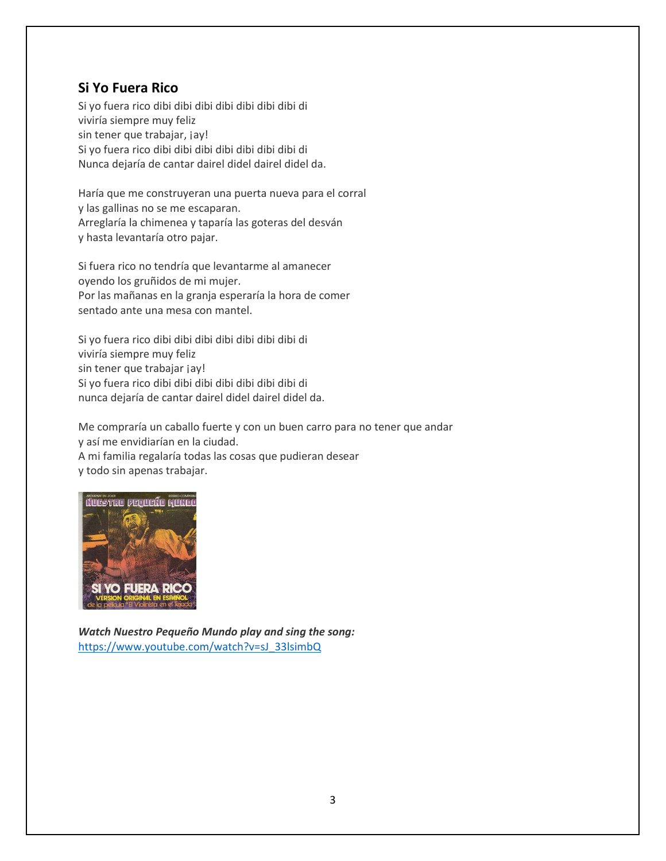# **Si Yo Fuera Rico**

Si yo fuera rico dibi dibi dibi dibi dibi dibi dibi di viviría siempre muy feliz sin tener que trabajar, jay! Si yo fuera rico dibi dibi dibi dibi dibi dibi dibi di Nunca dejaría de cantar dairel didel dairel didel da.

Haría que me construyeran una puerta nueva para el corral y las gallinas no se me escaparan. Arreglaría la chimenea y taparía las goteras del desván y hasta levantaría otro pajar.

Si fuera rico no tendría que levantarme al amanecer oyendo los gruñidos de mi mujer. Por las mañanas en la granja esperaría la hora de comer sentado ante una mesa con mantel.

Si yo fuera rico dibi dibi dibi dibi dibi dibi dibi di viviría siempre muy feliz sin tener que trabajar jay! Si yo fuera rico dibi dibi dibi dibi dibi dibi dibi di nunca dejaría de cantar dairel didel dairel didel da.

Me compraría un caballo fuerte y con un buen carro para no tener que andar y así me envidiarían en la ciudad. A mi familia regalaría todas las cosas que pudieran desear y todo sin apenas trabajar.



*Watch Nuestro Pequeño Mundo play and sing the song:* [https://www.youtube.com/watch?v=sJ\\_33lsimbQ](https://www.youtube.com/watch?v=sJ_33lsimbQ)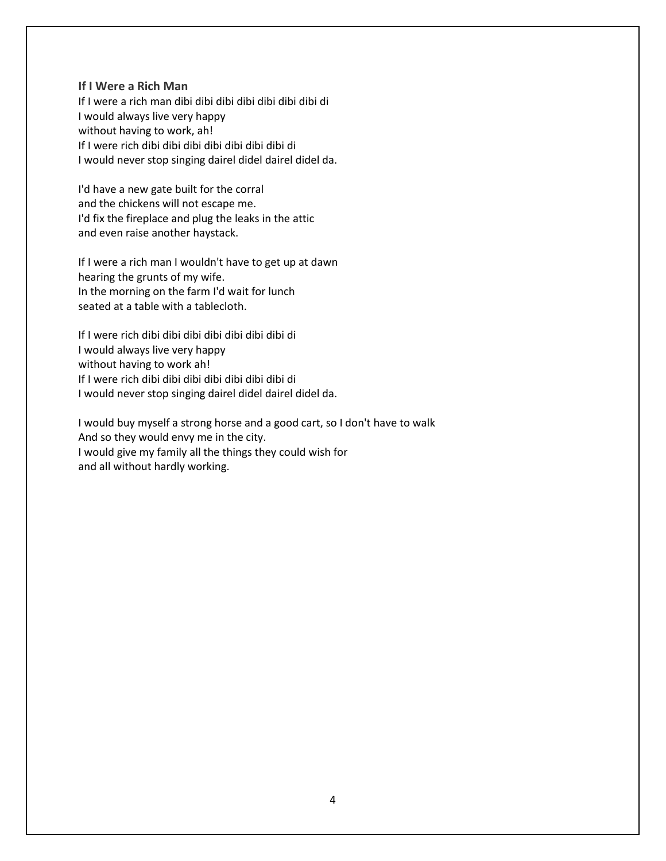#### **If I Were a Rich Man**

If I were a rich man dibi dibi dibi dibi dibi dibi dibi di I would always live very happy without having to work, ah! If I were rich dibi dibi dibi dibi dibi dibi dibi di I would never stop singing dairel didel dairel didel da.

I'd have a new gate built for the corral and the chickens will not escape me. I'd fix the fireplace and plug the leaks in the attic and even raise another haystack.

If I were a rich man I wouldn't have to get up at dawn hearing the grunts of my wife. In the morning on the farm I'd wait for lunch seated at a table with a tablecloth.

If I were rich dibi dibi dibi dibi dibi dibi dibi di I would always live very happy without having to work ah! If I were rich dibi dibi dibi dibi dibi dibi dibi di I would never stop singing dairel didel dairel didel da.

I would buy myself a strong horse and a good cart, so I don't have to walk And so they would envy me in the city. I would give my family all the things they could wish for and all without hardly working.